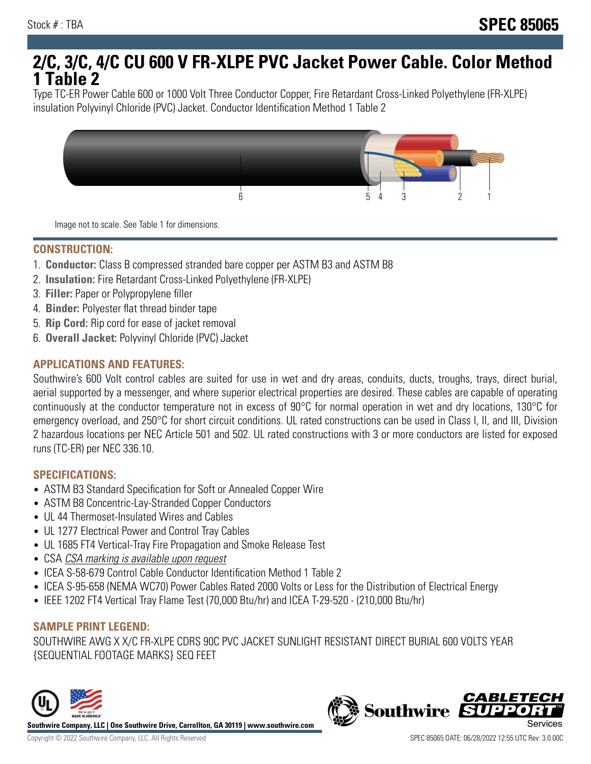# **2/C, 3/C, 4/C CU 600 V FR-XLPE PVC Jacket Power Cable. Color Method 1 Table 2**

Type TC-ER Power Cable 600 or 1000 Volt Three Conductor Copper, Fire Retardant Cross-Linked Polyethylene (FR-XLPE) insulation Polyvinyl Chloride (PVC) Jacket. Conductor Identification Method 1 Table 2



Image not to scale. See Table 1 for dimensions.

#### **CONSTRUCTION:**

- 1. **Conductor:** Class B compressed stranded bare copper per ASTM B3 and ASTM B8
- 2. **Insulation:** Fire Retardant Cross-Linked Polyethylene (FR-XLPE)
- 3. **Filler:** Paper or Polypropylene filler
- 4. **Binder:** Polyester flat thread binder tape
- 5. **Rip Cord:** Rip cord for ease of jacket removal
- 6. **Overall Jacket:** Polyvinyl Chloride (PVC) Jacket

## **APPLICATIONS AND FEATURES:**

Southwire's 600 Volt control cables are suited for use in wet and dry areas, conduits, ducts, troughs, trays, direct burial, aerial supported by a messenger, and where superior electrical properties are desired. These cables are capable of operating continuously at the conductor temperature not in excess of 90°C for normal operation in wet and dry locations, 130°C for emergency overload, and 250°C for short circuit conditions. UL rated constructions can be used in Class I, II, and III, Division 2 hazardous locations per NEC Article 501 and 502. UL rated constructions with 3 or more conductors are listed for exposed runs (TC-ER) per NEC 336.10.

#### **SPECIFICATIONS:**

- ASTM B3 Standard Specification for Soft or Annealed Copper Wire
- ASTM B8 Concentric-Lay-Stranded Copper Conductors
- UL 44 Thermoset-Insulated Wires and Cables
- UL 1277 Electrical Power and Control Tray Cables
- UL 1685 FT4 Vertical-Tray Fire Propagation and Smoke Release Test
- CSA CSA marking is available upon request
- ICEA S-58-679 Control Cable Conductor Identification Method 1 Table 2
- ICEA S-95-658 (NEMA WC70) Power Cables Rated 2000 Volts or Less for the Distribution of Electrical Energy
- IEEE 1202 FT4 Vertical Tray Flame Test (70,000 Btu/hr) and ICEA T-29-520 (210,000 Btu/hr)

#### **SAMPLE PRINT LEGEND:**

SOUTHWIRE AWG X X/C FR-XLPE CDRS 90C PVC JACKET SUNLIGHT RESISTANT DIRECT BURIAL 600 VOLTS YEAR {SEQUENTIAL FOOTAGE MARKS} SEQ FEET



**Southwire** 

**CABLETE**